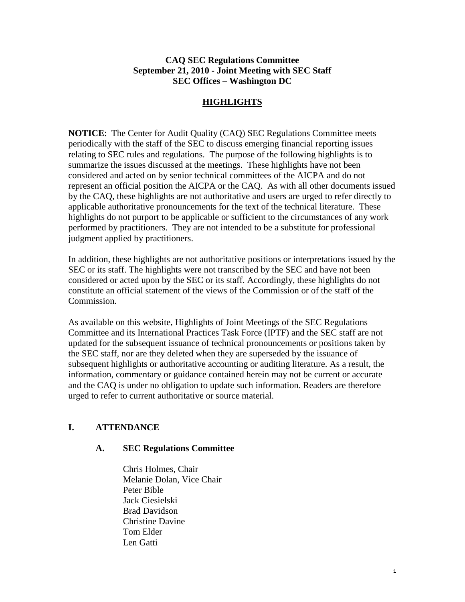## **CAQ SEC Regulations Committee September 21, 2010 - Joint Meeting with SEC Staff SEC Offices – Washington DC**

## **HIGHLIGHTS**

**NOTICE**: The Center for Audit Quality (CAQ) SEC Regulations Committee meets periodically with the staff of the SEC to discuss emerging financial reporting issues relating to SEC rules and regulations. The purpose of the following highlights is to summarize the issues discussed at the meetings. These highlights have not been considered and acted on by senior technical committees of the AICPA and do not represent an official position the AICPA or the CAQ. As with all other documents issued by the CAQ, these highlights are not authoritative and users are urged to refer directly to applicable authoritative pronouncements for the text of the technical literature. These highlights do not purport to be applicable or sufficient to the circumstances of any work performed by practitioners. They are not intended to be a substitute for professional judgment applied by practitioners.

In addition, these highlights are not authoritative positions or interpretations issued by the SEC or its staff. The highlights were not transcribed by the SEC and have not been considered or acted upon by the SEC or its staff. Accordingly, these highlights do not constitute an official statement of the views of the Commission or of the staff of the Commission.

As available on this website, Highlights of Joint Meetings of the SEC Regulations Committee and its International Practices Task Force (IPTF) and the SEC staff are not updated for the subsequent issuance of technical pronouncements or positions taken by the SEC staff, nor are they deleted when they are superseded by the issuance of subsequent highlights or authoritative accounting or auditing literature. As a result, the information, commentary or guidance contained herein may not be current or accurate and the CAQ is under no obligation to update such information. Readers are therefore urged to refer to current authoritative or source material.

## **I. ATTENDANCE**

### **A. SEC Regulations Committee**

Chris Holmes, Chair Melanie Dolan, Vice Chair Peter Bible Jack Ciesielski Brad Davidson Christine Davine Tom Elder Len Gatti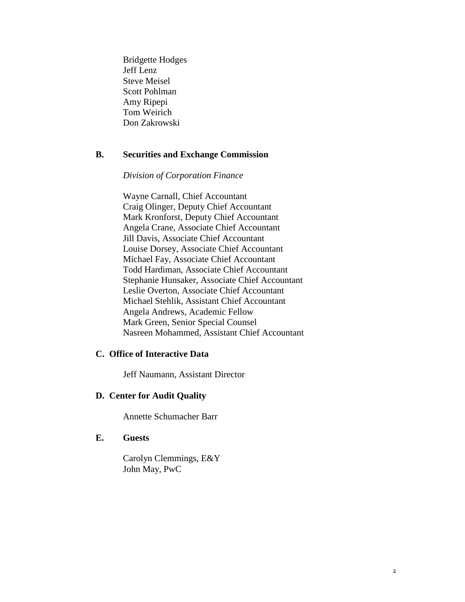Bridgette Hodges Jeff Lenz Steve Meisel Scott Pohlman Amy Ripepi Tom Weirich Don Zakrowski

### **B. Securities and Exchange Commission**

## *Division of Corporation Finance*

Wayne Carnall, Chief Accountant Craig Olinger, Deputy Chief Accountant Mark Kronforst, Deputy Chief Accountant Angela Crane, Associate Chief Accountant Jill Davis, Associate Chief Accountant Louise Dorsey, Associate Chief Accountant Michael Fay, Associate Chief Accountant Todd Hardiman, Associate Chief Accountant Stephanie Hunsaker, Associate Chief Accountant Leslie Overton, Associate Chief Accountant Michael Stehlik, Assistant Chief Accountant Angela Andrews, Academic Fellow Mark Green, Senior Special Counsel Nasreen Mohammed, Assistant Chief Accountant

#### **C. Office of Interactive Data**

Jeff Naumann, Assistant Director

#### **D. Center for Audit Quality**

Annette Schumacher Barr

### **E. Guests**

Carolyn Clemmings, E&Y John May, PwC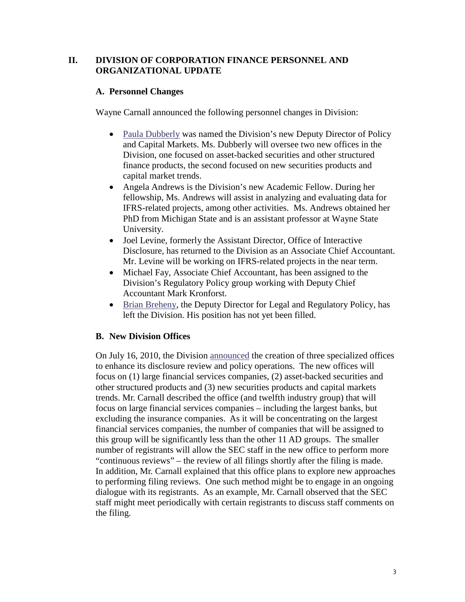## **II. DIVISION OF CORPORATION FINANCE PERSONNEL AND ORGANIZATIONAL UPDATE**

## **A. Personnel Changes**

Wayne Carnall announced the following personnel changes in Division:

- [Paula Dubberly](http://www.sec.gov/news/press/2010/2010-125.htm) was named the Division's new Deputy Director of Policy and Capital Markets. Ms. Dubberly will oversee two new offices in the Division, one focused on asset-backed securities and other structured finance products, the second focused on new securities products and capital market trends.
- Angela Andrews is the Division's new Academic Fellow. During her fellowship, Ms. Andrews will assist in analyzing and evaluating data for IFRS-related projects, among other activities. Ms. Andrews obtained her PhD from Michigan State and is an assistant professor at Wayne State University.
- Joel Levine, formerly the Assistant Director, Office of Interactive Disclosure, has returned to the Division as an Associate Chief Accountant. Mr. Levine will be working on IFRS-related projects in the near term.
- Michael Fay, Associate Chief Accountant, has been assigned to the Division's Regulatory Policy group working with Deputy Chief Accountant Mark Kronforst.
- [Brian Breheny,](http://www.sec.gov/news/press/2010/2010-158.htm) the Deputy Director for Legal and Regulatory Policy, has left the Division. His position has not yet been filled.

### **B. New Division Offices**

On July 16, 2010, the Division [announced](http://www.sec.gov/news/press/2010/2010-124.htm) the creation of three specialized offices to enhance its disclosure review and policy operations. The new offices will focus on (1) large financial services companies, (2) asset-backed securities and other structured products and (3) new securities products and capital markets trends. Mr. Carnall described the office (and twelfth industry group) that will focus on large financial services companies – including the largest banks, but excluding the insurance companies. As it will be concentrating on the largest financial services companies, the number of companies that will be assigned to this group will be significantly less than the other 11 AD groups. The smaller number of registrants will allow the SEC staff in the new office to perform more "continuous reviews" – the review of all filings shortly after the filing is made. In addition, Mr. Carnall explained that this office plans to explore new approaches to performing filing reviews. One such method might be to engage in an ongoing dialogue with its registrants. As an example, Mr. Carnall observed that the SEC staff might meet periodically with certain registrants to discuss staff comments on the filing.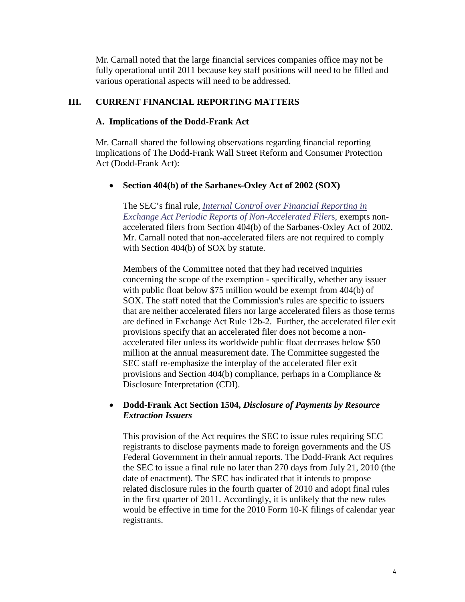Mr. Carnall noted that the large financial services companies office may not be fully operational until 2011 because key staff positions will need to be filled and various operational aspects will need to be addressed.

## **III. CURRENT FINANCIAL REPORTING MATTERS**

#### **A. Implications of the Dodd-Frank Act**

Mr. Carnall shared the following observations regarding financial reporting implications of The Dodd-Frank Wall Street Reform and Consumer Protection Act (Dodd-Frank Act):

### • **Section 404(b) of the Sarbanes-Oxley Act of 2002 (SOX)**

The SEC's final rul*e, [Internal Control over Financial Reporting in](http://sec.gov/rules/final/2010/33-9142.pdf)  [Exchange Act Periodic Reports of Non-Accelerated Filer](http://sec.gov/rules/final/2010/33-9142.pdf)*s, exempts nonaccelerated filers from Section 404(b) of the Sarbanes-Oxley Act of 2002. Mr. Carnall noted that non-accelerated filers are not required to comply with Section 404(b) of SOX by statute.

Members of the Committee noted that they had received inquiries concerning the scope of the exemption **-** specifically, whether any issuer with public float below \$75 million would be exempt from 404(b) of SOX. The staff noted that the Commission's rules are specific to issuers that are neither accelerated filers nor large accelerated filers as those terms are defined in Exchange Act Rule 12b-2. Further, the accelerated filer exit provisions specify that an accelerated filer does not become a nonaccelerated filer unless its worldwide public float decreases below \$50 million at the annual measurement date. The Committee suggested the SEC staff re-emphasize the interplay of the accelerated filer exit provisions and Section 404(b) compliance, perhaps in a Compliance & Disclosure Interpretation (CDI).

## • **Dodd-Frank Act Section 1504,** *Disclosure of Payments by Resource Extraction Issuers*

This provision of the Act requires the SEC to issue rules requiring SEC registrants to disclose payments made to foreign governments and the US Federal Government in their annual reports. The Dodd-Frank Act requires the SEC to issue a final rule no later than 270 days from July 21, 2010 (the date of enactment). The SEC has indicated that it intends to propose related disclosure rules in the fourth quarter of 2010 and adopt final rules in the first quarter of 2011. Accordingly, it is unlikely that the new rules would be effective in time for the 2010 Form 10-K filings of calendar year registrants.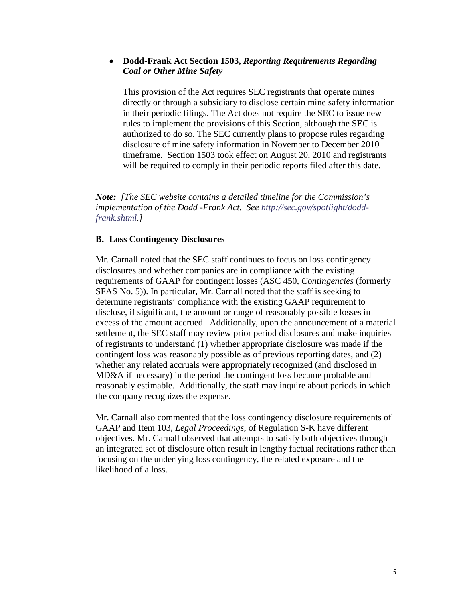## • **Dodd-Frank Act Section 1503,** *Reporting Requirements Regarding Coal or Other Mine Safety*

This provision of the Act requires SEC registrants that operate mines directly or through a subsidiary to disclose certain mine safety information in their periodic filings. The Act does not require the SEC to issue new rules to implement the provisions of this Section, although the SEC is authorized to do so. The SEC currently plans to propose rules regarding disclosure of mine safety information in November to December 2010 timeframe. Section 1503 took effect on August 20, 2010 and registrants will be required to comply in their periodic reports filed after this date.

*Note: [The SEC website contains a detailed timeline for the Commission's implementation of the Dodd -Frank Act. See [http://sec.gov/spotlight/dodd](http://sec.gov/spotlight/dodd-frank.shtml)[frank.shtml.](http://sec.gov/spotlight/dodd-frank.shtml)]*

#### **B. Loss Contingency Disclosures**

Mr. Carnall noted that the SEC staff continues to focus on loss contingency disclosures and whether companies are in compliance with the existing requirements of GAAP for contingent losses (ASC 450, *Contingencies* (formerly SFAS No. 5)). In particular, Mr. Carnall noted that the staff is seeking to determine registrants' compliance with the existing GAAP requirement to disclose, if significant, the amount or range of reasonably possible losses in excess of the amount accrued. Additionally, upon the announcement of a material settlement, the SEC staff may review prior period disclosures and make inquiries of registrants to understand (1) whether appropriate disclosure was made if the contingent loss was reasonably possible as of previous reporting dates, and (2) whether any related accruals were appropriately recognized (and disclosed in MD&A if necessary) in the period the contingent loss became probable and reasonably estimable. Additionally, the staff may inquire about periods in which the company recognizes the expense.

Mr. Carnall also commented that the loss contingency disclosure requirements of GAAP and Item 103, *Legal Proceedings*, of Regulation S-K have different objectives. Mr. Carnall observed that attempts to satisfy both objectives through an integrated set of disclosure often result in lengthy factual recitations rather than focusing on the underlying loss contingency, the related exposure and the likelihood of a loss.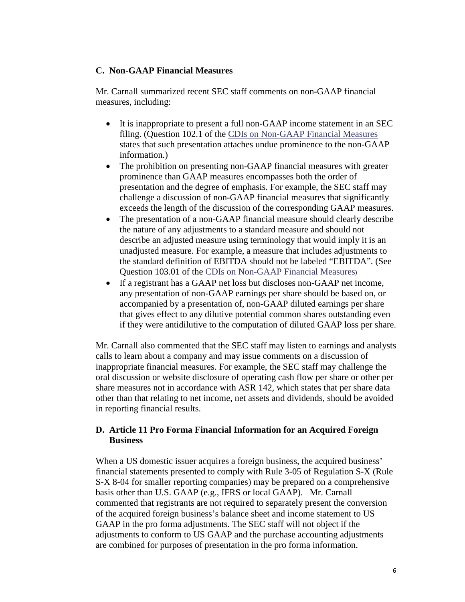### **C. Non-GAAP Financial Measures**

Mr. Carnall summarized recent SEC staff comments on non-GAAP financial measures, including:

- It is inappropriate to present a full non-GAAP income statement in an SEC filing. (Question 102.1 of the [CDIs on Non-GAAP Financial Measures](http://sec.gov/divisions/corpfin/guidance/nongaapinterp.htm) states that such presentation attaches undue prominence to the non-GAAP information.)
- The prohibition on presenting non-GAAP financial measures with greater prominence than GAAP measures encompasses both the order of presentation and the degree of emphasis. For example, the SEC staff may challenge a discussion of non-GAAP financial measures that significantly exceeds the length of the discussion of the corresponding GAAP measures.
- The presentation of a non-GAAP financial measure should clearly describe the nature of any adjustments to a standard measure and should not describe an adjusted measure using terminology that would imply it is an unadjusted measure. For example, a measure that includes adjustments to the standard definition of EBITDA should not be labeled "EBITDA". (See Question 103.01 of the [CDIs on Non-GAAP Financial Measures](http://sec.gov/divisions/corpfin/guidance/nongaapinterp.htm))
- If a registrant has a GAAP net loss but discloses non-GAAP net income, any presentation of non-GAAP earnings per share should be based on, or accompanied by a presentation of, non-GAAP diluted earnings per share that gives effect to any dilutive potential common shares outstanding even if they were antidilutive to the computation of diluted GAAP loss per share.

Mr. Carnall also commented that the SEC staff may listen to earnings and analysts calls to learn about a company and may issue comments on a discussion of inappropriate financial measures. For example, the SEC staff may challenge the oral discussion or website disclosure of operating cash flow per share or other per share measures not in accordance with ASR 142, which states that per share data other than that relating to net income, net assets and dividends, should be avoided in reporting financial results.

## **D. Article 11 Pro Forma Financial Information for an Acquired Foreign Business**

When a US domestic issuer acquires a foreign business, the acquired business' financial statements presented to comply with Rule 3-05 of Regulation S-X (Rule S-X 8-04 for smaller reporting companies) may be prepared on a comprehensive basis other than U.S. GAAP (e.g., IFRS or local GAAP). Mr. Carnall commented that registrants are not required to separately present the conversion of the acquired foreign business's balance sheet and income statement to US GAAP in the pro forma adjustments. The SEC staff will not object if the adjustments to conform to US GAAP and the purchase accounting adjustments are combined for purposes of presentation in the pro forma information.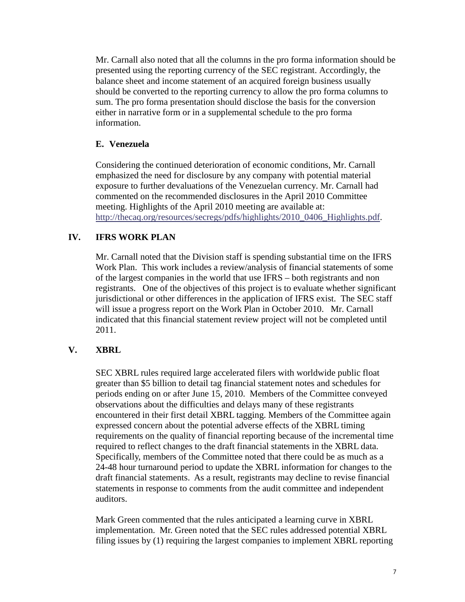Mr. Carnall also noted that all the columns in the pro forma information should be presented using the reporting currency of the SEC registrant. Accordingly, the balance sheet and income statement of an acquired foreign business usually should be converted to the reporting currency to allow the pro forma columns to sum. The pro forma presentation should disclose the basis for the conversion either in narrative form or in a supplemental schedule to the pro forma information.

# **E. Venezuela**

Considering the continued deterioration of economic conditions, Mr. Carnall emphasized the need for disclosure by any company with potential material exposure to further devaluations of the Venezuelan currency. Mr. Carnall had commented on the recommended disclosures in the April 2010 Committee meeting. Highlights of the April 2010 meeting are available at: [http://thecaq.org/resources/secregs/pdfs/highlights/2010\\_0406\\_Highlights.pdf.](http://thecaq.org/resources/secregs/pdfs/highlights/2010_0406_Highlights.pdf)

# **IV. IFRS WORK PLAN**

Mr. Carnall noted that the Division staff is spending substantial time on the IFRS Work Plan. This work includes a review/analysis of financial statements of some of the largest companies in the world that use IFRS – both registrants and non registrants. One of the objectives of this project is to evaluate whether significant jurisdictional or other differences in the application of IFRS exist. The SEC staff will issue a progress report on the Work Plan in October 2010. Mr. Carnall indicated that this financial statement review project will not be completed until 2011.

# **V. XBRL**

SEC XBRL rules required large accelerated filers with worldwide public float greater than \$5 billion to detail tag financial statement notes and schedules for periods ending on or after June 15, 2010. Members of the Committee conveyed observations about the difficulties and delays many of these registrants encountered in their first detail XBRL tagging. Members of the Committee again expressed concern about the potential adverse effects of the XBRL timing requirements on the quality of financial reporting because of the incremental time required to reflect changes to the draft financial statements in the XBRL data. Specifically, members of the Committee noted that there could be as much as a 24-48 hour turnaround period to update the XBRL information for changes to the draft financial statements. As a result, registrants may decline to revise financial statements in response to comments from the audit committee and independent auditors.

Mark Green commented that the rules anticipated a learning curve in XBRL implementation. Mr. Green noted that the SEC rules addressed potential XBRL filing issues by (1) requiring the largest companies to implement XBRL reporting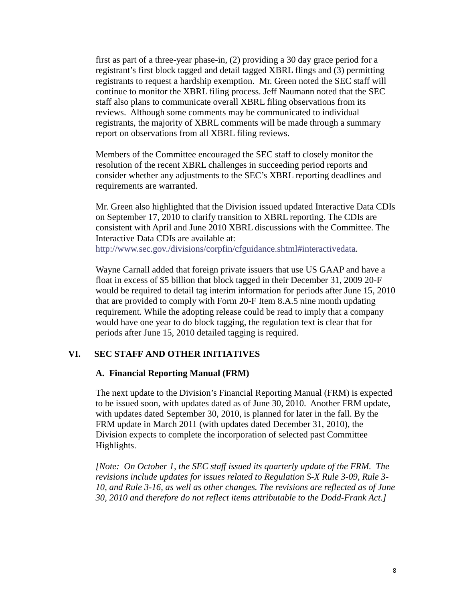first as part of a three-year phase-in, (2) providing a 30 day grace period for a registrant's first block tagged and detail tagged XBRL flings and (3) permitting registrants to request a hardship exemption. Mr. Green noted the SEC staff will continue to monitor the XBRL filing process. Jeff Naumann noted that the SEC staff also plans to communicate overall XBRL filing observations from its reviews. Although some comments may be communicated to individual registrants, the majority of XBRL comments will be made through a summary report on observations from all XBRL filing reviews.

Members of the Committee encouraged the SEC staff to closely monitor the resolution of the recent XBRL challenges in succeeding period reports and consider whether any adjustments to the SEC's XBRL reporting deadlines and requirements are warranted.

Mr. Green also highlighted that the Division issued updated Interactive Data CDIs on September 17, 2010 to clarify transition to XBRL reporting. The CDIs are consistent with April and June 2010 XBRL discussions with the Committee. The Interactive Data CDIs are available at: [http://www.sec.gov./divisions/corpfin/cfguidance.shtml#interactivedata.](http://www.sec.gov./divisions/corpfin/cfguidance.shtml#interactivedata)

Wayne Carnall added that foreign private issuers that use US GAAP and have a float in excess of \$5 billion that block tagged in their December 31, 2009 20-F would be required to detail tag interim information for periods after June 15, 2010 that are provided to comply with Form 20-F Item 8.A.5 nine month updating requirement. While the adopting release could be read to imply that a company would have one year to do block tagging, the regulation text is clear that for periods after June 15, 2010 detailed tagging is required.

## **VI. SEC STAFF AND OTHER INITIATIVES**

#### **A. Financial Reporting Manual (FRM)**

The next update to the Division's Financial Reporting Manual (FRM) is expected to be issued soon, with updates dated as of June 30, 2010. Another FRM update, with updates dated September 30, 2010, is planned for later in the fall. By the FRM update in March 2011 (with updates dated December 31, 2010), the Division expects to complete the incorporation of selected past Committee Highlights.

*[Note: On October 1, the SEC staff issued its quarterly update of the FRM. The revisions include updates for issues related to Regulation S-X Rule 3-09, Rule 3- 10, and Rule 3-16, as well as other changes. The revisions are reflected as of June 30, 2010 and therefore do not reflect items attributable to the Dodd-Frank Act.]*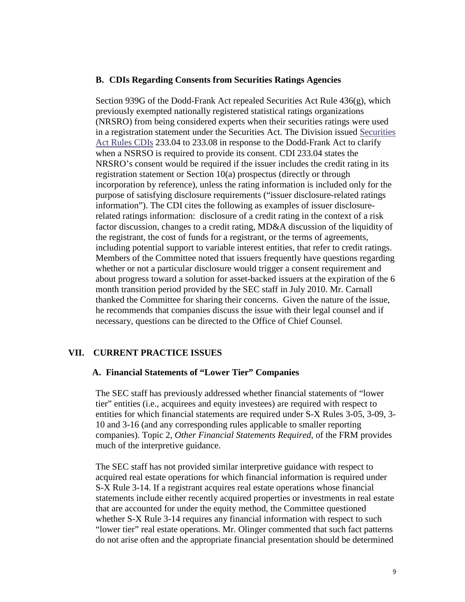#### **B. CDIs Regarding Consents from Securities Ratings Agencies**

Section 939G of the Dodd-Frank Act repealed Securities Act Rule  $436(g)$ , which previously exempted nationally registered statistical ratings organizations (NRSRO) from being considered experts when their securities ratings were used in a registration statement under the Securities Act. The Division issued [Securities](http://www.sec.gov./divisions/corpfin/guidance/securitiesactrules-interps.htm)  [Act Rules CDIs](http://www.sec.gov./divisions/corpfin/guidance/securitiesactrules-interps.htm) 233.04 to 233.08 in response to the Dodd-Frank Act to clarify when a NSRSO is required to provide its consent. CDI 233.04 states the NRSRO's consent would be required if the issuer includes the credit rating in its registration statement or Section 10(a) prospectus (directly or through incorporation by reference), unless the rating information is included only for the purpose of satisfying disclosure requirements ("issuer disclosure-related ratings information"). The CDI cites the following as examples of issuer disclosurerelated ratings information: disclosure of a credit rating in the context of a risk factor discussion, changes to a credit rating, MD&A discussion of the liquidity of the registrant, the cost of funds for a registrant, or the terms of agreements, including potential support to variable interest entities, that refer to credit ratings. Members of the Committee noted that issuers frequently have questions regarding whether or not a particular disclosure would trigger a consent requirement and about progress toward a solution for asset-backed issuers at the expiration of the 6 month transition period provided by the SEC staff in July 2010. Mr. Carnall thanked the Committee for sharing their concerns. Given the nature of the issue, he recommends that companies discuss the issue with their legal counsel and if necessary, questions can be directed to the Office of Chief Counsel.

## **VII. CURRENT PRACTICE ISSUES**

#### **A. Financial Statements of "Lower Tier" Companies**

The SEC staff has previously addressed whether financial statements of "lower tier" entities (i.e., acquirees and equity investees) are required with respect to entities for which financial statements are required under S-X Rules 3-05, 3-09, 3- 10 and 3-16 (and any corresponding rules applicable to smaller reporting companies). Topic 2, *Other Financial Statements Required*, of the FRM provides much of the interpretive guidance.

The SEC staff has not provided similar interpretive guidance with respect to acquired real estate operations for which financial information is required under S-X Rule 3-14. If a registrant acquires real estate operations whose financial statements include either recently acquired properties or investments in real estate that are accounted for under the equity method, the Committee questioned whether S-X Rule 3-14 requires any financial information with respect to such "lower tier" real estate operations. Mr. Olinger commented that such fact patterns do not arise often and the appropriate financial presentation should be determined